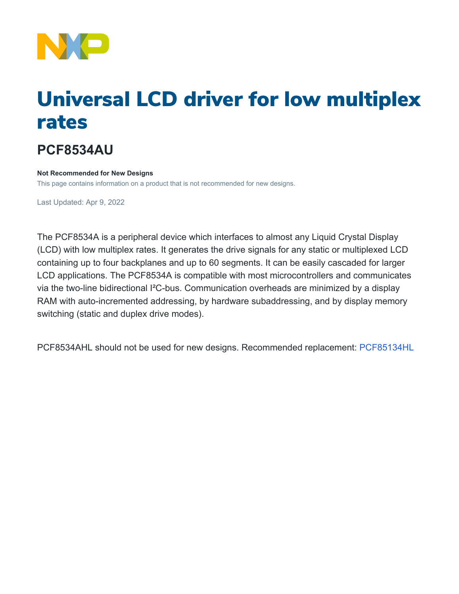

# Universal LCD driver for low multiplex rates

## **PCF8534AU**

#### **Not Recommended for New Designs**

This page contains information on a product that is not recommended for new designs.

Last Updated: Apr 9, 2022

The PCF8534A is a peripheral device which interfaces to almost any Liquid Crystal Display (LCD) with low multiplex rates. It generates the drive signals for any static or multiplexed LCD containing up to four backplanes and up to 60 segments. It can be easily cascaded for larger LCD applications. The PCF8534A is compatible with most microcontrollers and communicates via the two-line bidirectional I²C-bus. Communication overheads are minimized by a display RAM with auto-incremented addressing, by hardware subaddressing, and by display memory switching (static and duplex drive modes).

PCF8534AHL should not be used for new designs. Recommended replacement: [PCF85134HL](http://www.nxp.com/pip/PCF85134HL)